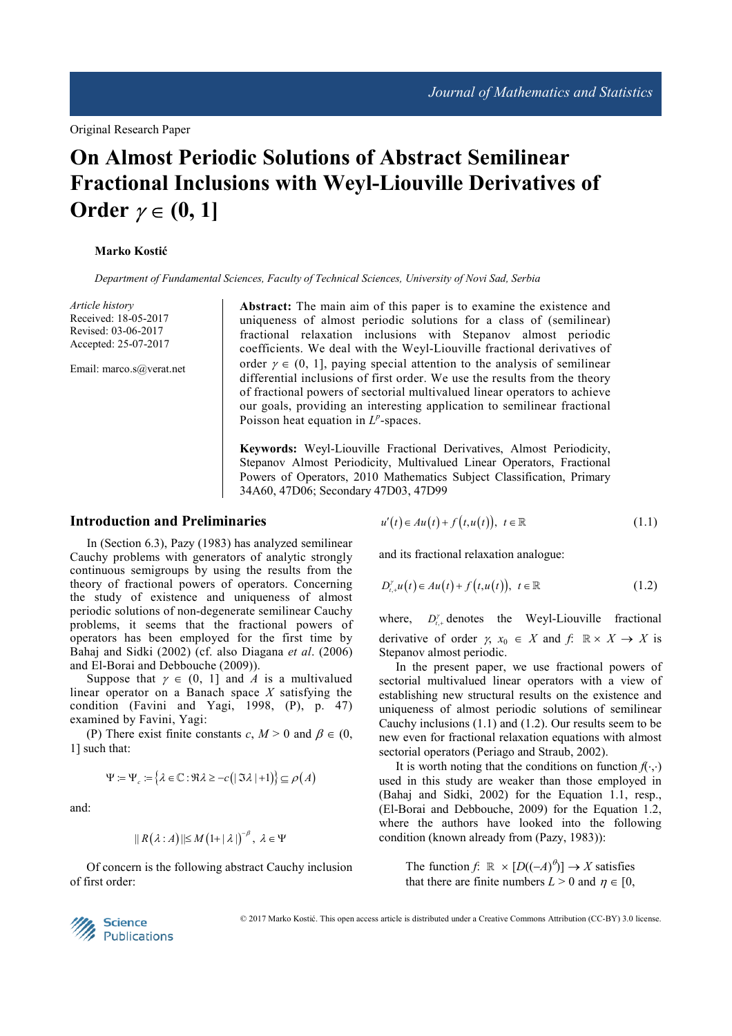Original Research Paper

# **On Almost Periodic Solutions of Abstract Semilinear Fractional Inclusions with Weyl-Liouville Derivatives of**  Order  $\gamma \in (0, 1]$

#### **Marko Kostić**

*Department of Fundamental Sciences, Faculty of Technical Sciences, University of Novi Sad, Serbia* 

*Article history*  Received: 18-05-2017 Revised: 03-06-2017 Accepted: 25-07-2017

Email: marco.s@verat.net

**Abstract:** The main aim of this paper is to examine the existence and uniqueness of almost periodic solutions for a class of (semilinear) fractional relaxation inclusions with Stepanov almost periodic coefficients. We deal with the Weyl-Liouville fractional derivatives of order  $\gamma \in (0, 1]$ , paying special attention to the analysis of semilinear differential inclusions of first order. We use the results from the theory of fractional powers of sectorial multivalued linear operators to achieve our goals, providing an interesting application to semilinear fractional Poisson heat equation in  $L^p$ -spaces.

**Keywords:** Weyl-Liouville Fractional Derivatives, Almost Periodicity, Stepanov Almost Periodicity, Multivalued Linear Operators, Fractional Powers of Operators, 2010 Mathematics Subject Classification, Primary 34A60, 47D06; Secondary 47D03, 47D99

## **Introduction and Preliminaries**

In (Section 6.3), Pazy (1983) has analyzed semilinear Cauchy problems with generators of analytic strongly continuous semigroups by using the results from the theory of fractional powers of operators. Concerning the study of existence and uniqueness of almost periodic solutions of non-degenerate semilinear Cauchy problems, it seems that the fractional powers of operators has been employed for the first time by Bahaj and Sidki (2002) (cf. also Diagana *et al*. (2006) and El-Borai and Debbouche (2009)).

Suppose that  $\gamma \in (0, 1]$  and *A* is a multivalued linear operator on a Banach space *X* satisfying the condition (Favini and Yagi, 1998, (P), p. 47) examined by Favini, Yagi:

(P) There exist finite constants *c*,  $M > 0$  and  $\beta \in (0, 1)$ 1] such that:

$$
\Psi := \Psi_c := \{ \lambda \in \mathbb{C} : \Re \lambda \ge -c \, (|\, \Im \lambda \, | \, +1) \} \subseteq \rho(A)
$$

and:

$$
\|R(\lambda : A)\| \le M (1 + |\lambda|)^{-\beta}, \ \lambda \in \Psi
$$

Of concern is the following abstract Cauchy inclusion of first order:

$$
u'(t) \in Au(t) + f(t, u(t)), \ t \in \mathbb{R}
$$
 (1.1)

and its fractional relaxation analogue:

$$
D_{t,+}^{\gamma}u(t) \in Au(t) + f(t,u(t)), \ t \in \mathbb{R}
$$
 (1.2)

where.  $\gamma_{t,+}$  denotes the Weyl-Liouville fractional derivative of order  $\gamma$ ,  $x_0 \in X$  and  $f: \mathbb{R} \times X \to X$  is Stepanov almost periodic.

In the present paper, we use fractional powers of sectorial multivalued linear operators with a view of establishing new structural results on the existence and uniqueness of almost periodic solutions of semilinear Cauchy inclusions (1.1) and (1.2). Our results seem to be new even for fractional relaxation equations with almost sectorial operators (Periago and Straub, 2002).

It is worth noting that the conditions on function *f*(⋅,⋅) used in this study are weaker than those employed in (Bahaj and Sidki, 2002) for the Equation 1.1, resp., (El-Borai and Debbouche, 2009) for the Equation 1.2, where the authors have looked into the following condition (known already from (Pazy, 1983)):

The function  $f: \mathbb{R} \times [D((-A)^{\theta})] \rightarrow X$  satisfies that there are finite numbers  $L > 0$  and  $\eta \in [0, 1]$ 



© 2017 Marko Kostić. This open access article is distributed under a Creative Commons Attribution (CC-BY) 3.0 license.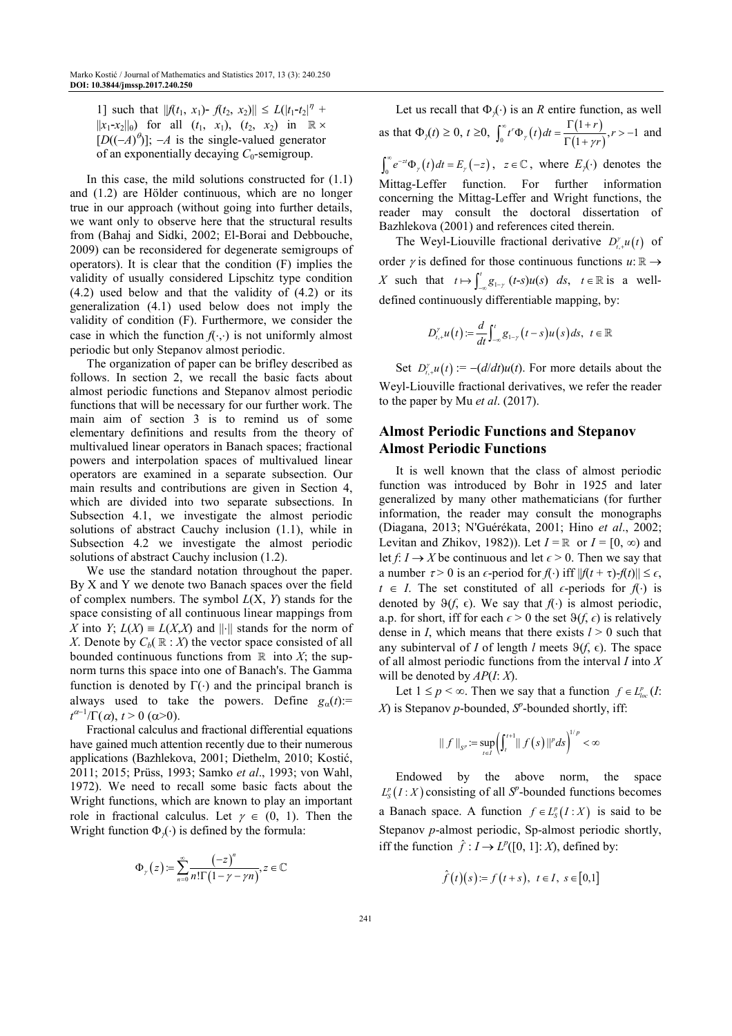1] such that  $||f(t_1, x_1) - f(t_2, x_2)|| \le L(|t_1 - t_2|^{\eta} +$  $||x_1-x_2||_0$  for all  $(t_1, x_1)$ ,  $(t_2, x_2)$  in ℝ ×  $[D((-A)^\theta)]$ ;  $-A$  is the single-valued generator of an exponentially decaying  $C_0$ -semigroup.

In this case, the mild solutions constructed for (1.1) and (1.2) are Hölder continuous, which are no longer true in our approach (without going into further details, we want only to observe here that the structural results from (Bahaj and Sidki, 2002; El-Borai and Debbouche, 2009) can be reconsidered for degenerate semigroups of operators). It is clear that the condition (F) implies the validity of usually considered Lipschitz type condition (4.2) used below and that the validity of (4.2) or its generalization (4.1) used below does not imply the validity of condition (F). Furthermore, we consider the case in which the function *f*(⋅,⋅) is not uniformly almost periodic but only Stepanov almost periodic.

The organization of paper can be brifley described as follows. In section 2, we recall the basic facts about almost periodic functions and Stepanov almost periodic functions that will be necessary for our further work. The main aim of section 3 is to remind us of some elementary definitions and results from the theory of multivalued linear operators in Banach spaces; fractional powers and interpolation spaces of multivalued linear operators are examined in a separate subsection. Our main results and contributions are given in Section 4, which are divided into two separate subsections. In Subsection 4.1, we investigate the almost periodic solutions of abstract Cauchy inclusion (1.1), while in Subsection 4.2 we investigate the almost periodic solutions of abstract Cauchy inclusion (1.2).

We use the standard notation throughout the paper. By X and Y we denote two Banach spaces over the field of complex numbers. The symbol *L*(X, *Y*) stands for the space consisting of all continuous linear mappings from *X* into *Y*;  $L(X) = L(X,X)$  and  $\|\cdot\|$  stands for the norm of *X*. Denote by  $C_b(\mathbb{R}:X)$  the vector space consisted of all bounded continuous functions from ℝ into *X*; the supnorm turns this space into one of Banach's. The Gamma function is denoted by  $\Gamma(\cdot)$  and the principal branch is always used to take the powers. Define  $g_{\alpha}(t)$ := *t*<sup> $\alpha$ -1</sup>/Γ(*α*), *t* > 0 (α>0).

Fractional calculus and fractional differential equations have gained much attention recently due to their numerous applications (Bazhlekova, 2001; Diethelm, 2010; Kostić, 2011; 2015; Prüss, 1993; Samko *et al*., 1993; von Wahl, 1972). We need to recall some basic facts about the Wright functions, which are known to play an important role in fractional calculus. Let  $\gamma \in (0, 1)$ . Then the Wright function  $\Phi_{\lambda}(\cdot)$  is defined by the formula:

$$
\Phi_{\gamma}(z) = \sum_{n=0}^{\infty} \frac{\left(-z\right)^n}{n!\Gamma\left(1-\gamma-\gamma n\right)}, z \in \mathbb{C}
$$

Let us recall that  $\Phi_{\lambda}(\cdot)$  is an *R* entire function, as well as that  $\Phi_{\gamma}(t) \ge 0$ ,  $t \ge 0$ ,  $\int_0^{\infty} t^r \Phi_{\gamma}(t) dt = \frac{\Gamma(1+r)}{\Gamma(1+r)}$ ,  $\frac{(1+r)}{1+\gamma r}, r > -1$  $t^{r}\Phi_{\gamma}(t)dt = \frac{\Gamma(1+r)}{\Gamma(1+\gamma r)}, r$  $\int_0^{\infty} t^r \Phi_{\gamma}(t) dt = \frac{\Gamma(1+r)}{\Gamma(1+r)}$ ,  $r > -1$  and  $\int_0^\infty e^{-zt} \Phi_{\gamma}(t) dt = E_{\gamma}(-z)$ ,  $z \in \mathbb{C}$ , where  $E_{\gamma}(\cdot)$  denotes the

Mittag-Leffer function. For further information concerning the Mittag-Leffer and Wright functions, the reader may consult the doctoral dissertation of Bazhlekova (2001) and references cited therein.

The Weyl-Liouville fractional derivative  $D_{t,+}^{\gamma}u(t)$  of order  $\gamma$  is defined for those continuous functions  $u: \mathbb{R} \to$ *X* such that  $t \mapsto \int_{-\infty}^{t} g_{1-y} (t-s)u(s) ds$ ,  $t \in \mathbb{R}$  is a welldefined continuously differentiable mapping, by:

$$
D_{t,+}^{\gamma}u(t) := \frac{d}{dt}\int_{-\infty}^{t}g_{1-\gamma}(t-s)u(s)ds, \ t \in \mathbb{R}
$$

Set  $D_{t,+}^{\gamma}u(t) := -(d/dt)u(t)$ . For more details about the Weyl-Liouville fractional derivatives, we refer the reader to the paper by Mu *et al*. (2017).

# **Almost Periodic Functions and Stepanov Almost Periodic Functions**

It is well known that the class of almost periodic function was introduced by Bohr in 1925 and later generalized by many other mathematicians (for further information, the reader may consult the monographs (Diagana, 2013; N'Guérékata, 2001; Hino *et al*., 2002; Levitan and Zhikov, 1982)). Let  $I = \mathbb{R}$  or  $I = [0, \infty)$  and let *f*:  $I \rightarrow X$  be continuous and let  $\epsilon > 0$ . Then we say that a number  $\tau > 0$  is an  $\epsilon$ -period for  $f(\cdot)$  iff  $||f(t + \tau) - f(t)|| \leq \epsilon$ ,  $t \in I$ . The set constituted of all  $\epsilon$ -periods for  $f(\cdot)$  is denoted by  $\Theta(f, \epsilon)$ . We say that  $f(\cdot)$  is almost periodic, a.p. for short, iff for each  $\epsilon > 0$  the set  $9(f, \epsilon)$  is relatively dense in *I*, which means that there exists *l* > 0 such that any subinterval of *I* of length *l* meets  $\Theta(f, \epsilon)$ . The space of all almost periodic functions from the interval *I* into *X* will be denoted by *AP*(*I*: *X*).

Let  $1 \leq p \leq \infty$ . Then we say that a function  $f \in L^p_{loc}(I)$ . *X*) is Stepanov *p*-bounded,  $S^p$ -bounded shortly, iff:

$$
\| f \|_{S^p} := \sup_{t \in I} \left( \int_t^{t+1} \| f(s) \|^p ds \right)^{1/p} < \infty
$$

Endowed by the above norm, the space  $L_s^p(I: X)$  consisting of all  $S^p$ -bounded functions becomes a Banach space. A function  $f \in L_S^p(I : X)$  is said to be Stepanov *p*-almost periodic, Sp-almost periodic shortly, iff the function  $\hat{f}: I \to L^p([0, 1]: X)$ , defined by:

$$
\hat{f}(t)(s) = f(t+s), \ t \in I, \ s \in [0,1]
$$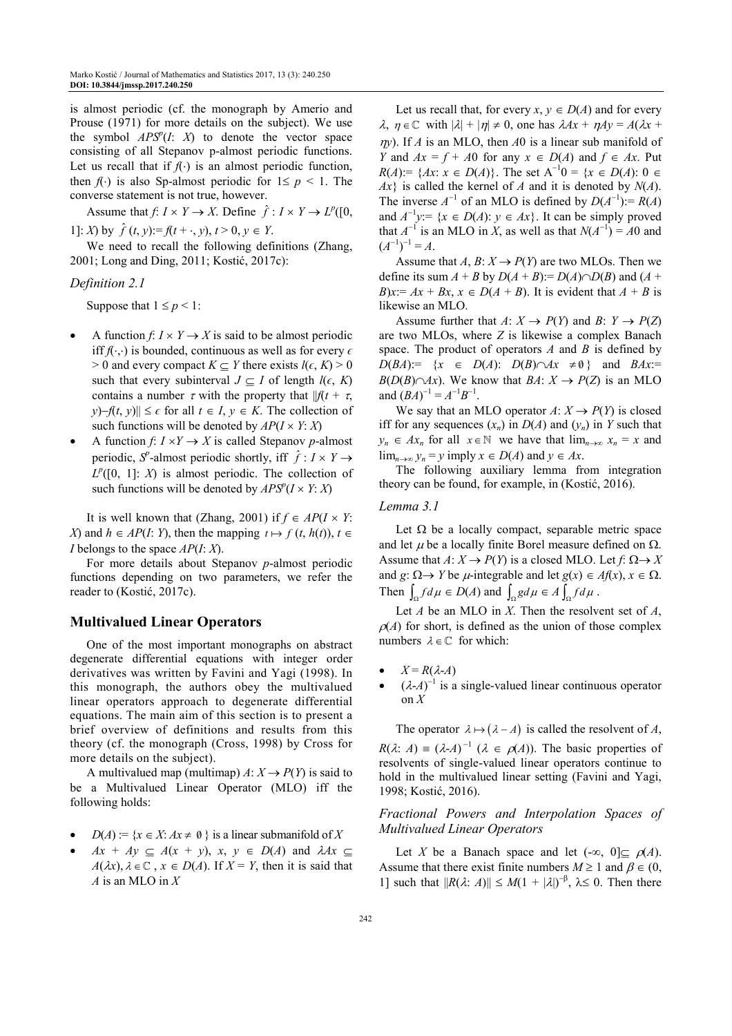is almost periodic (cf. the monograph by Amerio and Prouse (1971) for more details on the subject). We use the symbol  $APS^{p}(I: X)$  to denote the vector space consisting of all Stepanov p-almost periodic functions. Let us recall that if  $f(\cdot)$  is an almost periodic function, then  $f(\cdot)$  is also Sp-almost periodic for  $1 \leq p \leq 1$ . The converse statement is not true, however.

Assume that  $f: I \times Y \to X$ . Define  $\hat{f}: I \times Y \to L^p([0,$ 1]: *X*) by  $\hat{f}(t, y) := f(t + \cdot, y), t > 0, y \in Y$ .

We need to recall the following definitions (Zhang, 2001; Long and Ding, 2011; Kostić, 2017c):

#### *Definition 2.1*

Suppose that  $1 \leq p \leq 1$ :

- A function  $f: I \times Y \rightarrow X$  is said to be almost periodic iff  $f(\cdot, \cdot)$  is bounded, continuous as well as for every  $\epsilon$ > 0 and every compact *K* ⊂ *Y* there exists  $l(\epsilon, K) > 0$ such that every subinterval  $J \subseteq I$  of length  $l(\epsilon, K)$ contains a number  $\tau$  with the property that  $||f(t + \tau,$ *y*)− $f(t, y)$ || ≤  $\epsilon$  for all  $t \in I$ ,  $y \in K$ . The collection of such functions will be denoted by  $AP(I \times Y; X)$
- A function  $f: I \times Y \to X$  is called Stepanov *p*-almost periodic,  $S^p$ -almost periodic shortly, iff  $\hat{f}: I \times Y \rightarrow$  $L^p([0, 1]: X)$  is almost periodic. The collection of such functions will be denoted by  $APS^{p}(I \times Y; X)$

It is well known that (Zhang, 2001) if *f* ∈  $AP(I \times Y$ : *X*) and  $h \in AP(I: Y)$ , then the mapping  $t \mapsto f(t, h(t))$ ,  $t \in$ *I* belongs to the space *AP*(*I*: *X*).

For more details about Stepanov *p*-almost periodic functions depending on two parameters, we refer the reader to (Kostić, 2017c).

## **Multivalued Linear Operators**

One of the most important monographs on abstract degenerate differential equations with integer order derivatives was written by Favini and Yagi (1998). In this monograph, the authors obey the multivalued linear operators approach to degenerate differential equations. The main aim of this section is to present a brief overview of definitions and results from this theory (cf. the monograph (Cross, 1998) by Cross for more details on the subject).

A multivalued map (multimap)  $A: X \rightarrow P(Y)$  is said to be a Multivalued Linear Operator (MLO) iff the following holds:

- $D(A) := \{x \in X : Ax \neq \emptyset\}$  is a linear submanifold of X
- $Ax + Ay \subseteq A(x + y), x, y \in D(A)$  and  $\lambda Ax \subseteq$  $A(\lambda x)$ ,  $\lambda \in \mathbb{C}$ ,  $x \in D(A)$ . If  $X = Y$ , then it is said that *A* is an MLO in *X*

Let us recall that, for every  $x, y \in D(A)$  and for every  $\lambda$ ,  $\eta \in \mathbb{C}$  with  $|\lambda| + |\eta| \neq 0$ , one has  $\lambda Ax + \eta Ay = A(\lambda x +$ <sup>η</sup>*y*). If *A* is an MLO, then *A*0 is a linear sub manifold of *Y* and  $Ax = f + A0$  for any  $x \in D(A)$  and  $f \in Ax$ . Put *R*(*A*):= {*Ax*: *x* ∈ *D*(*A*)}. The set A<sup>-1</sup>0 = {*x* ∈ *D*(*A*): 0 ∈ *Ax*} is called the kernel of *A* and it is denoted by *N*(*A*). The inverse  $A^{-1}$  of an MLO is defined by  $D(A^{-1}) = R(A)$ and  $A^{-1}y$ :  $\in$   $\{x \in D(A) : y \in Ax\}$ . It can be simply proved that  $A^{-1}$  is an MLO in *X*, as well as that  $N(A^{-1}) = A0$  and  $(A^{-1})^{-1} = A.$ 

Assume that *A*, *B*:  $X \rightarrow P(Y)$  are two MLOs. Then we define its sum  $A + B$  by  $D(A + B) = D(A) \cap D(B)$  and  $(A + B) = D(A)$ *B*)*x*:=  $Ax + Bx$ ,  $x \in D(A + B)$ . It is evident that  $A + B$  is likewise an MLO.

Assume further that  $A: X \rightarrow P(Y)$  and  $B: Y \rightarrow P(Z)$ are two MLOs, where *Z* is likewise a complex Banach space. The product of operators *A* and *B* is defined by *D*(*BA*):= {*x* ∈ *D*(*A*): *D*(*B*)∩*Ax* ≠ 0} and *BAx*:= *B*(*D*(*B*)∩*Ax*). We know that *BA*: *X* → *P*(*Z*) is an MLO and  $(BA)^{-1} = A^{-1}B^{-1}$ .

We say that an MLO operator  $A: X \rightarrow P(Y)$  is closed iff for any sequences  $(x_n)$  in  $D(A)$  and  $(y_n)$  in *Y* such that  $y_n \in Ax_n$  for all  $x \in \mathbb{N}$  we have that  $\lim_{n \to \infty} x_n = x$  and lim<sub>*n*→∞</sub>  $y_n = y$  imply  $x \in D(A)$  and  $y \in Ax$ .

The following auxiliary lemma from integration theory can be found, for example, in (Kostić, 2016).

#### *Lemma 3.1*

Let  $\Omega$  be a locally compact, separable metric space and let  $\mu$  be a locally finite Borel measure defined on  $\Omega$ . Assume that  $A: X \to P(Y)$  is a closed MLO. Let  $f: \Omega \to X$ and *g*:  $\Omega \rightarrow Y$  be *µ*-integrable and let  $g(x) \in Af(x)$ ,  $x \in \Omega$ . Then  $\int_{\Omega} f d\mu \in D(A)$  and  $\int_{\Omega} g d\mu \in A \int_{\Omega} f d\mu$ .

Let *A* be an MLO in *X*. Then the resolvent set of *A*,  $\rho(A)$  for short, is defined as the union of those complex numbers  $\lambda \in \mathbb{C}$  for which:

- $X = R(\lambda A)$
- $\bullet$  ( $\lambda$ -*A*)<sup>-1</sup> is a single-valued linear continuous operator on *X*

The operator  $\lambda \mapsto (\lambda - A)$  is called the resolvent of *A*,  $R(\lambda: A) = (\lambda \cdot A)^{-1}$  ( $\lambda \in \rho(A)$ ). The basic properties of resolvents of single-valued linear operators continue to hold in the multivalued linear setting (Favini and Yagi, 1998; Kostić, 2016).

# *Fractional Powers and Interpolation Spaces of Multivalued Linear Operators*

Let *X* be a Banach space and let  $(-\infty, 0] \subseteq \rho(A)$ . Assume that there exist finite numbers  $M \ge 1$  and  $\beta \in (0, 1)$ 1] such that  $||R(\lambda: A)|| \leq M(1 + |\lambda|)^{-\beta}$ ,  $\lambda \leq 0$ . Then there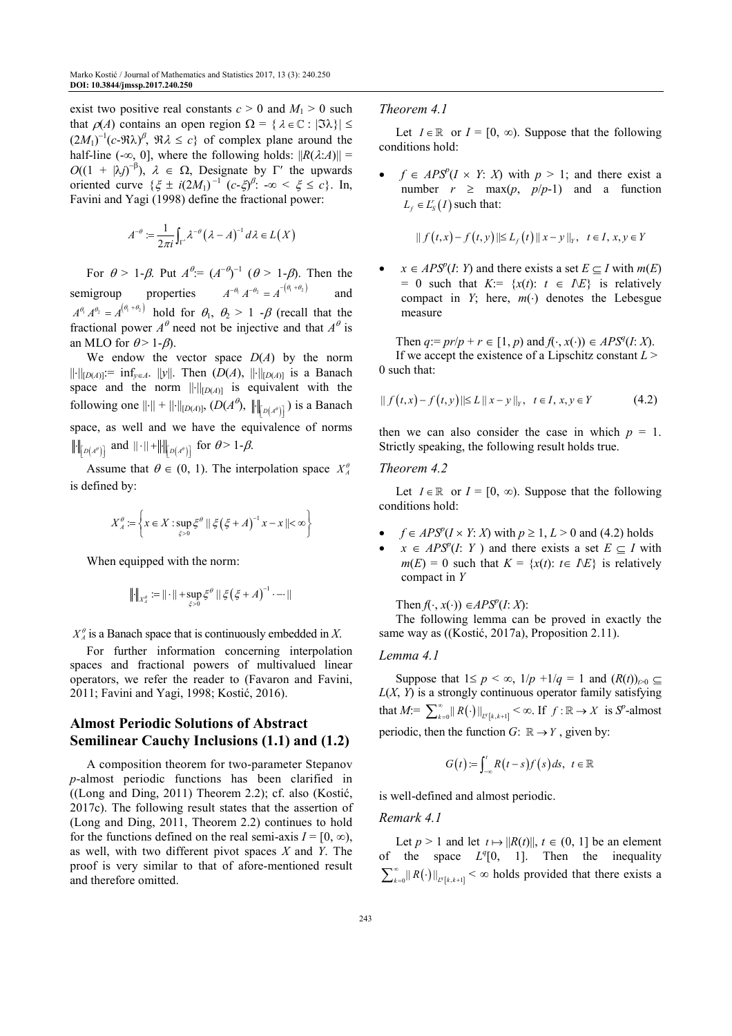exist two positive real constants  $c > 0$  and  $M_1 > 0$  such that  $\rho(A)$  contains an open region  $\Omega = \{ \lambda \in \mathbb{C} : |\Im \lambda \}| \leq$  $(2M_1)^{-1}(c-\Re\lambda)^\beta$ ,  $\Re\lambda \leq c$ } of complex plane around the half-line (-∞, 0], where the following holds:  $||R(\lambda:A)|| =$  $O((1 + |\lambda j)^{-\beta})$ , λ ∈ Ω, Designate by Γ' the upwards oriented curve  $\{\xi \pm i(2M_1)^{-1}$   $(c-\xi)^{\beta}$ :  $-\infty < \xi \le c\}$ . In, Favini and Yagi (1998) define the fractional power:

$$
A^{-\theta} := \frac{1}{2\pi i} \int_{\Gamma'} \lambda^{-\theta} (\lambda - A)^{-1} d\lambda \in L(X)
$$

For  $\theta > 1-\beta$ . Put  $A^{\theta} = (A^{-\theta})^{-1}$   $(\theta > 1-\beta)$ . Then the semigroup properties  $A^{-\theta_1} A^{-\theta_2} = A^{-(\theta_1 + \theta_2)}$  and  $A^{\theta_1} A^{\theta_2} = A^{(\theta_1 + \theta_2)}$  hold for  $\theta_1, \theta_2 > 1$  - $\beta$  (recall that the fractional power  $A^{\theta}$  need not be injective and that  $A^{\theta}$  is an MLO for  $\theta$  > 1- $\beta$ ).

We endow the vector space  $D(A)$  by the norm ||⋅||<sub>[*D*(*A*)]:= inf<sub>*y*∈*A*</sub>. ||*y*||. Then (*D*(*A*), ||⋅||<sub>[*D*(*A*)] is a Banach</sub></sub> space and the norm  $\|\cdot\|_{[D(A)]}$  is equivalent with the following one  $\|\cdot\| + \|\cdot\|_{[D(A)]}$ ,  $(D(A^{\theta}), \| \|_{[D(A^{\theta})]})$  is a Banach space, as well and we have the equivalence of norms  $\mathbb{E}_{\left[D(A^\theta)\right]}$  and  $\|\cdot\| + \|\cdot\|_{\left[D(A^\theta)\right]}$  for  $\theta > 1-\beta$ .

Assume that  $\theta \in (0, 1)$ . The interpolation space  $X_A^{\theta}$ is defined by:

$$
X_A^{\theta} := \left\{ x \in X : \sup_{\xi > 0} \xi^{\theta} \mid \| \xi (\xi + A)^{-1} x - x \| < \infty \right\}
$$

When equipped with the norm:

$$
\left\|\cdot\right\|_{X_A^\theta} := \left\|\cdot\right\| + \sup_{\xi>0} \xi^\theta \left\|\xi\left(\xi+A\right)^{-1} \cdot \cdots\right\|
$$

 $X_A^{\theta}$  is a Banach space that is continuously embedded in *X*.

For further information concerning interpolation spaces and fractional powers of multivalued linear operators, we refer the reader to (Favaron and Favini, 2011; Favini and Yagi, 1998; Kostić, 2016).

# **Almost Periodic Solutions of Abstract Semilinear Cauchy Inclusions (1.1) and (1.2)**

A composition theorem for two-parameter Stepanov *p*-almost periodic functions has been clarified in ((Long and Ding, 2011) Theorem 2.2); cf. also (Kostić, 2017c). The following result states that the assertion of (Long and Ding, 2011, Theorem 2.2) continues to hold for the functions defined on the real semi-axis  $I = [0, \infty)$ , as well, with two different pivot spaces *X* and *Y*. The proof is very similar to that of afore-mentioned result and therefore omitted.

#### *Theorem 4.1*

Let  $I \in \mathbb{R}$  or  $I = [0, \infty)$ . Suppose that the following conditions hold:

•  $f \in APS^{p}(I \times Y: X)$  with  $p > 1$ ; and there exist a number  $r \geq \max(p, p/p-1)$  and a function  $L_f \in L_S^r(I)$  such that:

$$
|| f(t,x) - f(t,y) || \le L_f(t) || x - y ||_Y, \quad t \in I, \, x, y \in Y
$$

•  $x \in APS^{p}(I: Y)$  and there exists a set  $E \subseteq I$  with  $m(E)$ = 0 such that  $K:= \{x(t): t \in \Lambda E\}$  is relatively compact in *Y*; here,  $m(·)$  denotes the Lebesgue measure

Then  $q := pr/p + r \in [1, p)$  and  $f(\cdot, x(\cdot)) \in APS^{q}(I: X)$ . If we accept the existence of a Lipschitz constant *L* > 0 such that:

$$
|| f(t,x) - f(t,y)|| \le L || x - y ||_Y, \quad t \in I, \, x, y \in Y \tag{4.2}
$$

then we can also consider the case in which  $p = 1$ . Strictly speaking, the following result holds true.

#### *Theorem 4.2*

Let  $I \in \mathbb{R}$  or  $I = [0, \infty)$ . Suppose that the following conditions hold:

- $f \in APS^p(I \times Y: X)$  with  $p \ge 1, L > 0$  and (4.2) holds
- $x \in APS^{p}(I: Y)$  and there exists a set  $E \subseteq I$  with  $m(E) = 0$  such that  $K = \{x(t): t \in \Lambda E\}$  is relatively compact in *Y*

Then  $f(\cdot, x(\cdot)) \in APS^p(I: X)$ :

The following lemma can be proved in exactly the same way as ((Kostić, 2017a), Proposition 2.11).

#### *Lemma 4.1*

Suppose that  $1 \leq p < \infty$ ,  $1/p + 1/q = 1$  and  $(R(t))_{t>0} \subseteq$  $L(X, Y)$  is a strongly continuous operator family satisfying that  $M:=\sum_{k=0}^{\infty} ||R(\cdot)||_{L^{q}[k,k+1]} < \infty$ . If  $f:\mathbb{R} \to X$  is  $S^{p}$ -almost periodic, then the function *G*: ℝ → *Y*, given by:

$$
G(t) := \int_{-\infty}^{t} R(t-s)f(s)ds, \ t \in \mathbb{R}
$$

is well-defined and almost periodic.

*Remark 4.1* 

Let  $p > 1$  and let  $t \mapsto ||R(t)||$ ,  $t \in (0, 1]$  be an element of the space  $L^{q}[0, 1]$ . Then the inequality  $\sum_{k=0}^{\infty} ||R(\cdot)||_{L^{q}[k,k+1]} < \infty$  holds provided that there exists a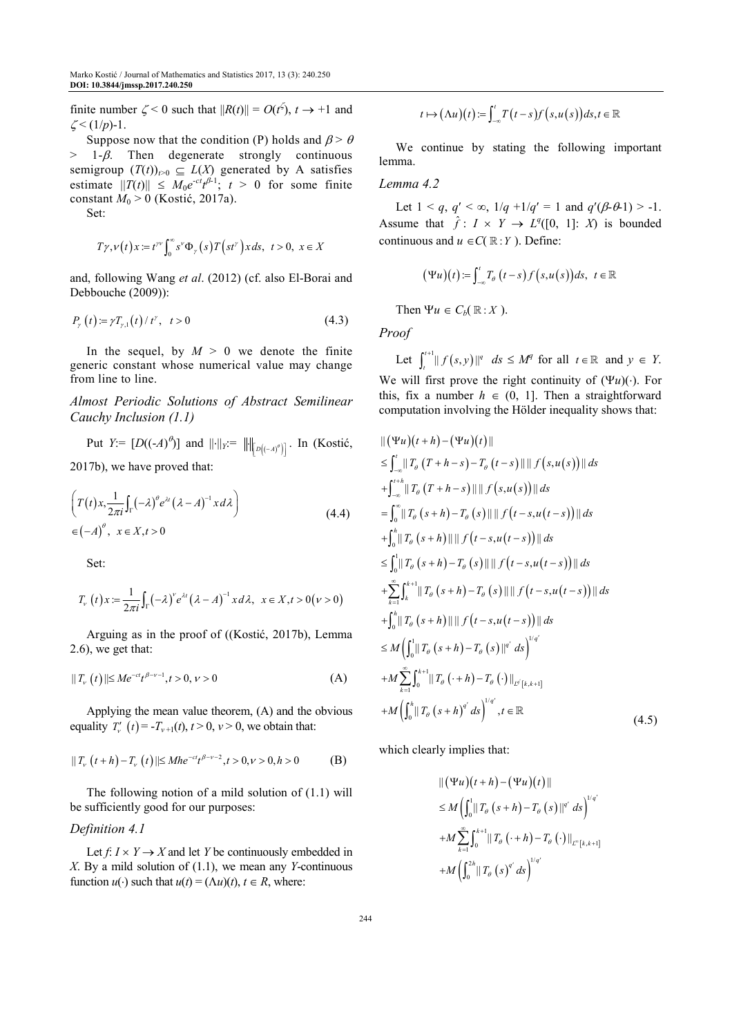finite number  $\zeta$  < 0 such that  $||R(t)|| = O(t^{\zeta})$ ,  $t \to +1$  and  $\zeta$  <  $(1/p)-1$ .

Suppose now that the condition (P) holds and  $\beta > \theta$  $> 1-\beta$ . Then degenerate strongly continuous semigroup  $(T(t))_{t>0} \subseteq L(X)$  generated by A satisfies estimate  $||T(t)|| \leq M_0 e^{-ct} t^{\beta-1}$ ;  $t > 0$  for some finite constant  $M_0 > 0$  (Kostić, 2017a).

Set:

$$
T\gamma,\nu(t)x:=t^{\gamma\nu}\int_0^\infty s^\nu\Phi_\gamma(s)T\Big(st^\gamma\Big)x\,ds,\ \ t>0,\ \ x\in X
$$

and, following Wang *et al*. (2012) (cf. also El-Borai and Debbouche (2009)):

$$
P_{\gamma}(t) = \gamma T_{\gamma,1}(t) / t^{\gamma}, \quad t > 0 \tag{4.3}
$$

In the sequel, by  $M > 0$  we denote the finite generic constant whose numerical value may change from line to line.

*Almost Periodic Solutions of Abstract Semilinear Cauchy Inclusion (1.1)* 

Put *Y*:=  $[D((-A)^\theta)]$  and  $\| \cdot \|_{Y}$ :=  $\| \cdot \|_{[D((-A)^\theta)]}$ . In (Kostić, 2017b), we have proved that:

$$
\left(T(t)x, \frac{1}{2\pi i} \int_{\Gamma} (-\lambda)^{\theta} e^{\lambda t} (\lambda - A)^{-1} x d\lambda \right)
$$
\n
$$
\in (-A)^{\theta}, \ x \in X, t > 0
$$
\n(4.4)

Set:

$$
T_{\nu}(t)x := \frac{1}{2\pi i} \int_{\Gamma} (-\lambda)^{\nu} e^{\lambda t} (\lambda - A)^{-1} x d\lambda, \ \ x \in X, t > 0 (\nu > 0)
$$

Arguing as in the proof of ((Kostić, 2017b), Lemma 2.6), we get that:

$$
||T_v(t)|| \le Me^{-ct}t^{\beta-\nu-1}, t > 0, \nu > 0
$$
 (A)

Applying the mean value theorem, (A) and the obvious equality  $T'_{v}(t) = -T_{v+1}(t), t > 0, v > 0$ , we obtain that:

$$
|| T_v(t+h) - T_v(t) || \leq M h e^{-ct} t^{\beta - \nu - 2}, t > 0, v > 0, h > 0
$$
 (B)

The following notion of a mild solution of (1.1) will be sufficiently good for our purposes:

## *Definition 4.1*

Let  $f: I \times Y \rightarrow X$  and let *Y* be continuously embedded in *X*. By a mild solution of (1.1), we mean any *Y*-continuous function  $u(\cdot)$  such that  $u(t) = (\Lambda u)(t)$ ,  $t \in R$ , where:

$$
t\mapsto (\Lambda u)(t):=\int_{-\infty}^t T(t-s)f(s,u(s))ds,t\in\mathbb{R}
$$

We continue by stating the following important lemma.

## *Lemma 4.2*

Let  $1 < q$ ,  $q' < \infty$ ,  $1/q + 1/q' = 1$  and  $q'(\beta \cdot \theta \cdot 1) > -1$ . Assume that  $\hat{f} : I \times Y \to L^q([0, 1]: X)$  is bounded continuous and  $u \in C(\mathbb{R}:Y)$ . Define:

$$
(\Psi u)(t) := \int_{-\infty}^{t} T_{\theta}\left(t - s\right) f\left(s, u(s)\right) ds, \ \ t \in \mathbb{R}
$$

Then  $\Psi u \in C_b(\mathbb{R}:X)$ .

*Proof* 

Let 
$$
\int_{t}^{t+1} || f(s, y)||^{q} ds \leq M^{q}
$$
 for all  $t \in \mathbb{R}$  and  $y \in Y$ .

We will first prove the right continuity of  $(\Psi u)(\cdot)$ . For this, fix a number  $h \in (0, 1]$ . Then a straightforward computation involving the Hölder inequality shows that:

$$
\|(\Psi u)(t+h) - (\Psi u)(t)\|
$$
  
\n
$$
\leq \int_{-\infty}^{t} \|T_{\theta} (T+h-s) - T_{\theta} (t-s)\| \|f(s, u(s))\| ds
$$
  
\n
$$
+ \int_{-\infty}^{t+h} \|T_{\theta} (T+h-s)\| \|f(s, u(s))\| ds
$$
  
\n
$$
= \int_{0}^{\infty} \|T_{\theta} (s+h) - T_{\theta} (s)\| \|f(t-s, u(t-s))\| ds
$$
  
\n
$$
+ \int_{0}^{h} \|T_{\theta} (s+h) \| \|f(t-s, u(t-s))\| ds
$$
  
\n
$$
\leq \int_{0}^{1} \|T_{\theta} (s+h) - T_{\theta} (s)\| \|f(t-s, u(t-s))\| ds
$$
  
\n
$$
+ \sum_{k=1}^{\infty} \int_{k}^{k+1} \|T_{\theta} (s+h) - T_{\theta} (s)\| \|f(t-s, u(t-s))\| ds
$$
  
\n
$$
+ \int_{0}^{h} \|T_{\theta} (s+h) \| \|f(t-s, u(t-s))\| ds
$$
  
\n
$$
\leq M \left( \int_{0}^{1} \|T_{\theta} (s+h) - T_{\theta} (s)\|^{q'} ds \right)^{1/q'}
$$
  
\n
$$
+ M \sum_{k=1}^{\infty} \int_{0}^{k+1} \|T_{\theta} (t+h) - T_{\theta} (t)\|_{L^{q'}[k,k+1]}
$$
  
\n
$$
+ M \left( \int_{0}^{h} \|T_{\theta} (s+h)^{q'} ds \right)^{1/q'}, t \in \mathbb{R}
$$
  
\n(4.5)

which clearly implies that:

$$
\| (\Psi u)(t+h) - (\Psi u)(t) \|
$$
  
\n
$$
\leq M \left( \int_0^1 \|T_\theta \left( s+h \right) - T_\theta \left( s \right) \|^q \, ds \right)^{1/q'}
$$
  
\n
$$
+ M \sum_{k=1}^\infty \int_0^{k+1} \|T_\theta \left( s+h \right) - T_\theta \left( \cdot \right) \|_{L^\infty[k,k+1]}
$$
  
\n
$$
+ M \left( \int_0^{2h} \|T_\theta \left( s \right)^{q'} \, ds \right)^{1/q'}
$$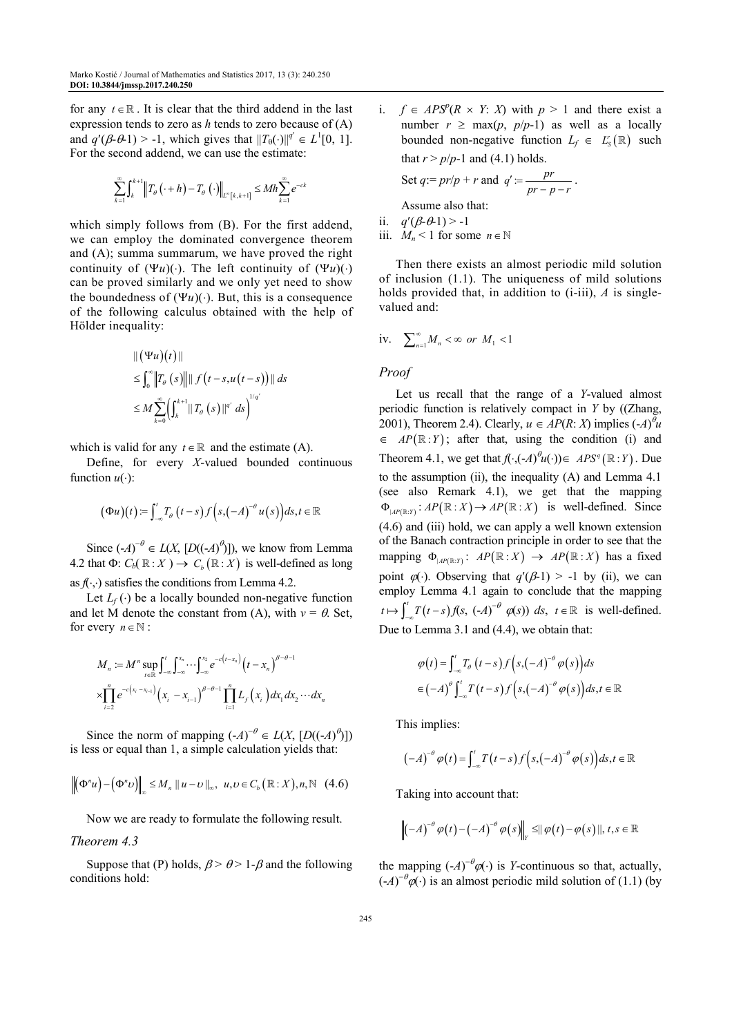for any *t* ∈ℝ . It is clear that the third addend in the last expression tends to zero as *h* tends to zero because of (A) and  $q'(\beta \cdot \theta) > -1$ , which gives that  $||T_{\theta}(\cdot)||^{q'} \in L^1[0, 1]$ . For the second addend, we can use the estimate:

$$
\sum_{k=1}^{\infty} \int_{k}^{k+1} \left\| T_{\theta} \left( \cdot + h \right) - T_{\theta} \left( \cdot \right) \right\|_{L^{\infty}[k,k+1]} \leq M h \sum_{k=1}^{\infty} e^{-ck}
$$

which simply follows from  $(B)$ . For the first addend, we can employ the dominated convergence theorem and (A); summa summarum, we have proved the right continuity of  $(\Psi u)(\cdot)$ . The left continuity of  $(\Psi u)(\cdot)$ can be proved similarly and we only yet need to show the boundedness of  $(\Psi u)(\cdot)$ . But, this is a consequence of the following calculus obtained with the help of Hölder inequality:

$$
\|(\Psi u)(t)\|
$$
  
\n
$$
\leq \int_0^\infty \|T_\theta(s)\| \|f(t-s,u(t-s))\| ds
$$
  
\n
$$
\leq M \sum_{k=0}^\infty \left(\int_k^{k+1} \|T_\theta(s)\|^{q'} ds\right)^{1/q'}
$$

which is valid for any  $t \in \mathbb{R}$  and the estimate (A).

Define, for every *X*-valued bounded continuous function  $u(\cdot)$ :

$$
(\Phi u)(t) := \int_{-\infty}^{t} T_{\theta}\left(t-s\right) f\left(s, \left(-A\right)^{-\theta} u\left(s\right)\right) ds, t \in \mathbb{R}
$$

Since  $(-A)^{-\theta} \in L(X, [D((-A)^{\theta})])$ , we know from Lemma 4.2 that  $\Phi: C_b(\mathbb{R}: X) \to C_b(\mathbb{R}: X)$  is well-defined as long as  $f(\cdot, \cdot)$  satisfies the conditions from Lemma 4.2.

Let  $L_f(\cdot)$  be a locally bounded non-negative function and let M denote the constant from (A), with  $v = \theta$ . Set, for every  $n \in \mathbb{N}$  :

$$
M_{n} := M^{n} \sup_{t \in \mathbb{R}} \int_{-\infty}^{t} \int_{-\infty}^{x_{n}} \cdots \int_{-\infty}^{x_{2}} e^{-c(t - x_{n})} (t - x_{n})^{\beta - \theta - 1}
$$
  

$$
\times \prod_{i=2}^{n} e^{-c(x_{i} - x_{i-1})} (x_{i} - x_{i-1})^{\beta - \theta - 1} \prod_{i=1}^{n} L_{f}(x_{i}) dx_{i} dx_{2} \cdots dx_{n}
$$

Since the norm of mapping  $(-A)^{-\theta} \in L(X, [D((-A)^{\theta})])$ is less or equal than 1, a simple calculation yields that:

$$
\left\| \left( \Phi^n u \right) - \left( \Phi^n v \right) \right\|_{\infty} \le M_n \left\| u - v \right\|_{\infty}, \ u, v \in C_b \left( \mathbb{R} : X \right), n, \mathbb{N} \quad (4.6)
$$

Now we are ready to formulate the following result.

## *Theorem 4.3*

Suppose that (P) holds,  $\beta > \theta > 1-\beta$  and the following conditions hold:

i. *f* ∈ *APS<sup><i>p*</sup></sup>( $R \times Y$ : *X*) with *p* > 1 and there exist a number  $r \ge \max(p, p/p-1)$  as well as a locally bounded non-negative function  $L_f \in L^r_s(\mathbb{R})$  such that  $r > p/p-1$  and (4.1) holds.

Set  $q := pr/p + r$  and  $q' := \frac{pr}{pr - p - r}$ .

Assume also that:

ii. 
$$
q'(\beta \cdot \theta) > -1
$$

iii.  $M_n < 1$  for some  $n \in \mathbb{N}$ 

Then there exists an almost periodic mild solution of inclusion (1.1). The uniqueness of mild solutions holds provided that, in addition to (*i*-iii), *A* is singlevalued and:

iv. 
$$
\sum_{n=1}^{\infty} M_n < \infty \text{ or } M_1 < 1
$$

#### *Proof*

Let us recall that the range of a *Y*-valued almost periodic function is relatively compact in *Y* by ((Zhang, 2001), Theorem 2.4). Clearly,  $u \in AP(R: X)$  implies  $(-A)^\theta u$  $\in$  *AP*( $\mathbb{R}: Y$ ); after that, using the condition (i) and Theorem 4.1, we get that  $f(\cdot, (-A)^{\theta}u(\cdot)) \in APS^{q}(\mathbb{R}:Y)$ . Due to the assumption (ii), the inequality (A) and Lemma 4.1 (see also Remark 4.1), we get that the mapping  $\Phi_{\vert AP(\mathbb{R}:Y)}$ :  $AP(\mathbb{R}:X) \to AP(\mathbb{R}:X)$  is well-defined. Since (4.6) and (iii) hold, we can apply a well known extension of the Banach contraction principle in order to see that the mapping  $\Phi_{\vert AP(\mathbb{R}:Y)}$ :  $AP(\mathbb{R}:X) \rightarrow AP(\mathbb{R}:X)$  has a fixed point  $\varphi(\cdot)$ . Observing that  $q'(\beta-1) > -1$  by (ii), we can employ Lemma 4.1 again to conclude that the mapping  $t \mapsto \int_{-\infty}^{t} T(t-s) f(s, (-A)^{-\theta} \varphi(s)) ds, t \in \mathbb{R}$  is well-defined. Due to Lemma 3.1 and (4.4), we obtain that:

$$
\varphi(t) = \int_{-\infty}^{t} T_{\theta} \left( t - s \right) f \left( s, \left( - A \right)^{-\theta} \varphi(s) \right) ds
$$
  

$$
\in (-A)^{\theta} \int_{-\infty}^{t} T \left( t - s \right) f \left( s, \left( - A \right)^{-\theta} \varphi(s) \right) ds, t \in \mathbb{R}
$$

This implies:

$$
\left(-A\right)^{-\theta}\varphi\left(t\right)=\int_{-\infty}^{t}T\left(t-s\right)f\left(s,\left(-A\right)^{-\theta}\varphi\left(s\right)\right)ds,t\in\mathbb{R}
$$

Taking into account that:

$$
\left\| \left( -A \right)^{-\theta} \varphi(t) - \left( -A \right)^{-\theta} \varphi(s) \right\|_{Y} \leq \mid \left| \varphi(t) - \varphi(s) \right|, t, s \in \mathbb{R}
$$

the mapping  $(-A)^{-\theta} \varphi(\cdot)$  is *Y*-continuous so that, actually,  $(-A)^{-\theta}\varphi(\cdot)$  is an almost periodic mild solution of (1.1) (by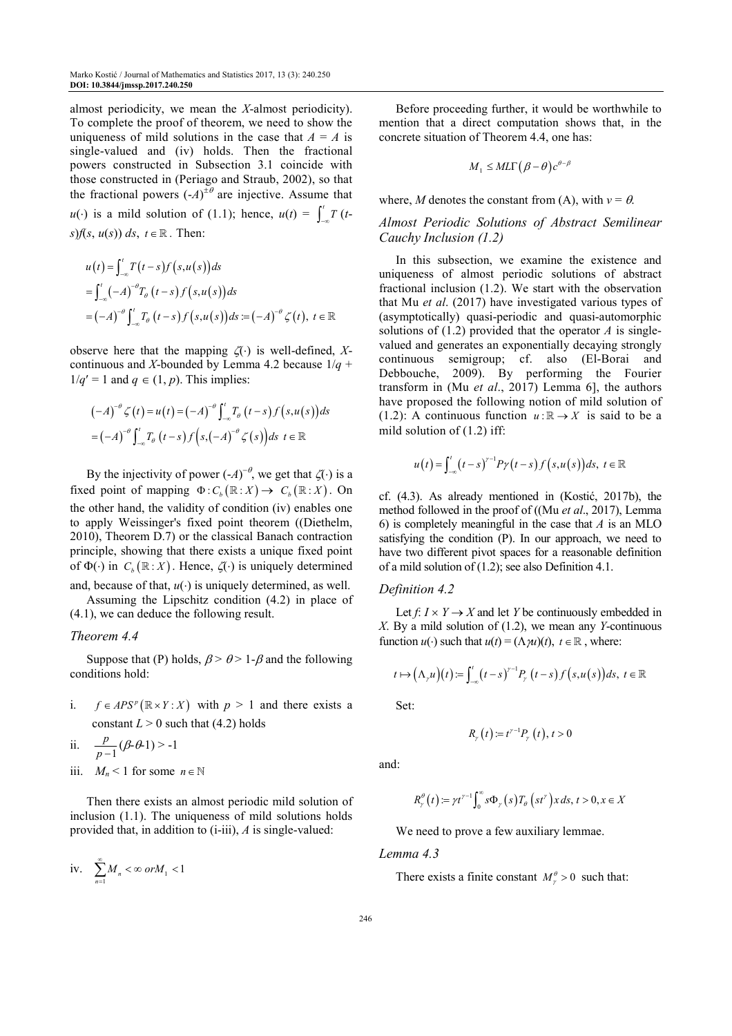almost periodicity, we mean the *X*-almost periodicity). To complete the proof of theorem, we need to show the uniqueness of mild solutions in the case that  $A = A$  is single-valued and (iv) holds. Then the fractional powers constructed in Subsection 3.1 coincide with those constructed in (Periago and Straub, 2002), so that the fractional powers  $(-A)^{\pm \theta}$  are injective. Assume that *u*(·) is a mild solution of (1.1); hence,  $u(t) = \int_{-\infty}^{t} T(t-t) dt$ *s*)*f*(*s*, *u*(*s*)) *ds*, *t* ∈ ℝ *.* Then:

$$
u(t) = \int_{-\infty}^{t} T(t-s)f(s,u(s))ds
$$
  
= 
$$
\int_{-\infty}^{t} (-A)^{-\theta} T_{\theta}(t-s)f(s,u(s))ds
$$
  
= 
$$
(-A)^{-\theta} \int_{-\infty}^{t} T_{\theta}(t-s)f(s,u(s))ds := (-A)^{-\theta} \zeta(t), t \in \mathbb{R}
$$

observe here that the mapping ζ(⋅) is well-defined, *X*continuous and *X*-bounded by Lemma 4.2 because  $1/q$  +  $1/q' = 1$  and  $q \in (1, p)$ . This implies:

$$
(-A)^{-\theta} \zeta(t) = u(t) = (-A)^{-\theta} \int_{-\infty}^{t} T_{\theta} (t-s) f(s, u(s)) ds
$$
  
=  $(-A)^{-\theta} \int_{-\infty}^{t} T_{\theta} (t-s) f(s, (-A)^{-\theta} \zeta(s)) ds \ t \in \mathbb{R}$ 

By the injectivity of power  $(-A)^{-\theta}$ , we get that  $\zeta(\cdot)$  is a fixed point of mapping  $\Phi: C_b(\mathbb{R}:X) \to C_b(\mathbb{R}:X)$ . On the other hand, the validity of condition (iv) enables one to apply Weissinger's fixed point theorem ((Diethelm, 2010), Theorem D.7) or the classical Banach contraction principle, showing that there exists a unique fixed point of  $\Phi(\cdot)$  in  $C_b(\mathbb{R}:X)$ . Hence,  $\zeta(\cdot)$  is uniquely determined

and, because of that,  $u(\cdot)$  is uniquely determined, as well. Assuming the Lipschitz condition (4.2) in place of

(4.1), we can deduce the following result.

#### *Theorem 4.4*

Suppose that (P) holds,  $\beta$  >  $\theta$  > 1- $\beta$  and the following conditions hold:

i.  $f \in APS^{p}(\mathbb{R} \times Y : X)$  with  $p > 1$  and there exists a constant  $L > 0$  such that (4.2) holds

ii. 
$$
\frac{p}{p-1}(\beta \cdot \theta \cdot 1) > -1
$$

iii. *M<sub>n</sub>* < 1 for some  $n \in \mathbb{N}$ 

Then there exists an almost periodic mild solution of inclusion (1.1). The uniqueness of mild solutions holds provided that, in addition to (i-iii), *A* is single-valued:

iv. 
$$
\sum_{n=1}^{\infty} M_n < \infty \text{ or } M_1 < 1
$$

Before proceeding further, it would be worthwhile to mention that a direct computation shows that, in the concrete situation of Theorem 4.4, one has:

$$
M_1 \leq ML\Gamma(\beta - \theta)c^{\theta - \beta}
$$

where, *M* denotes the constant from (A), with  $v = \theta$ .

# *Almost Periodic Solutions of Abstract Semilinear Cauchy Inclusion (1.2)*

In this subsection, we examine the existence and uniqueness of almost periodic solutions of abstract fractional inclusion (1.2). We start with the observation that Mu *et al*. (2017) have investigated various types of (asymptotically) quasi-periodic and quasi-automorphic solutions of  $(1.2)$  provided that the operator *A* is singlevalued and generates an exponentially decaying strongly continuous semigroup; cf. also (El-Borai and Debbouche, 2009). By performing the Fourier transform in (Mu *et al*., 2017) Lemma 6], the authors have proposed the following notion of mild solution of (1.2): A continuous function  $u : \mathbb{R} \to X$  is said to be a mild solution of (1.2) iff:

$$
u(t) = \int_{-\infty}^{t} (t-s)^{\gamma-1} P\gamma(t-s) f(s, u(s)) ds, t \in \mathbb{R}
$$

cf. (4.3). As already mentioned in (Kostić, 2017b), the method followed in the proof of ((Mu *et al*., 2017), Lemma 6) is completely meaningful in the case that *A* is an MLO satisfying the condition (P). In our approach, we need to have two different pivot spaces for a reasonable definition of a mild solution of (1.2); see also Definition 4.1.

#### *Definition 4.2*

Let  $f: I \times Y \rightarrow X$  and let *Y* be continuously embedded in *X*. By a mild solution of (1.2), we mean any *Y*-continuous function  $u(\cdot)$  such that  $u(t) = (\Lambda \mu)(t), t \in \mathbb{R}$ , where:

$$
t \mapsto (\Lambda_y u)(t) := \int_{-\infty}^t (t-s)^{y-1} P_y(t-s) f(s, u(s)) ds, t \in \mathbb{R}
$$

Set:

$$
R_{\gamma}(t) := t^{\gamma - 1} P_{\gamma}(t), \, t > 0
$$

and:

$$
R_{\gamma}^{\theta}(t) := \gamma t^{\gamma - 1} \int_0^{\infty} s \Phi_{\gamma}(s) T_{\theta}(st^{\gamma}) x ds, t > 0, x \in X
$$

We need to prove a few auxiliary lemmae.

## *Lemma 4.3*

There exists a finite constant  $M_\gamma^\theta > 0$  such that: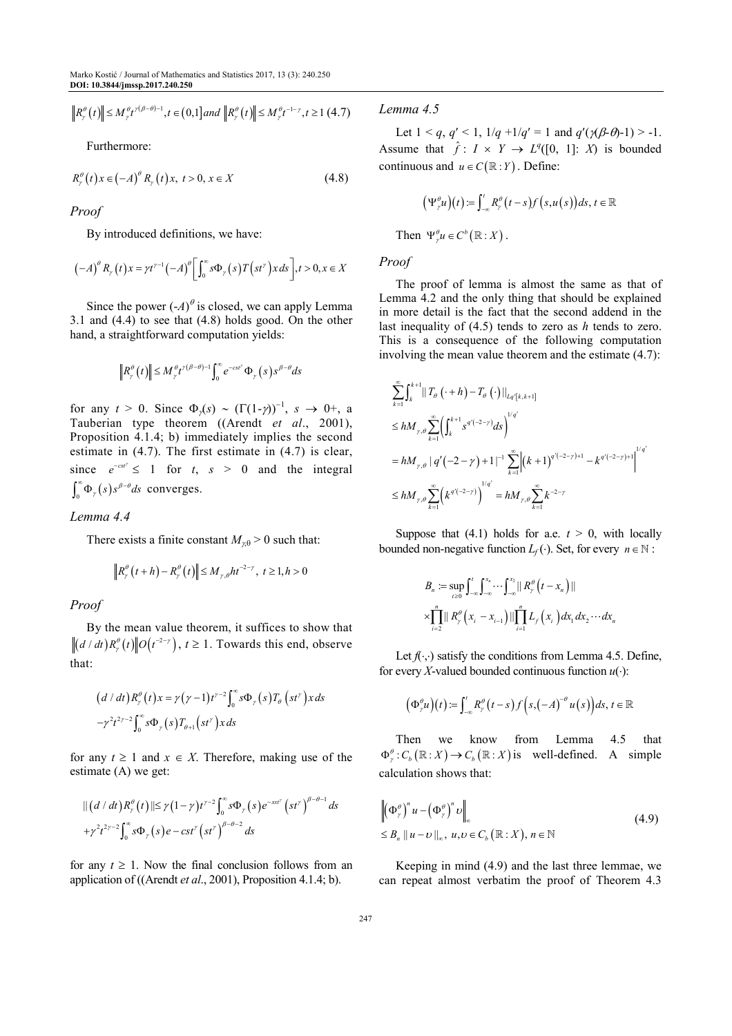$$
\left\|R_{\gamma}^{\theta}\left(t\right)\right\|\le M_{\gamma}^{\theta}t^{\gamma\left(\beta-\theta\right)-1},t\in\left(0,1\right]and\ \left\|R_{\gamma}^{\theta}\left(t\right)\right\|\le M_{\gamma}^{\theta}t^{-1-\gamma},t\ge1\left(4.7\right)
$$

Furthermore:

$$
R_{\gamma}^{\theta}(t)x \in (-A)^{\theta} R_{\gamma}(t)x, \ t > 0, \ x \in X \tag{4.8}
$$

*Proof* 

By introduced definitions, we have:

$$
(-A)^{\theta} R_{\gamma}(t)x = \gamma t^{\gamma-1} (-A)^{\theta} \left[ \int_0^{\infty} s \Phi_{\gamma}(s) T\left(st^{\gamma}\right) x ds \right], t > 0, x \in X
$$

Since the power  $(-A)^\theta$  is closed, we can apply Lemma 3.1 and (4.4) to see that (4.8) holds good. On the other hand, a straightforward computation yields:

$$
\left\|R_{\gamma}^{\theta}(t)\right\| \le M_{\gamma}^{\theta}t^{\gamma(\beta-\theta)-1}\int_{0}^{\infty}e^{-cst^{\gamma}}\Phi_{\gamma}(s)s^{\beta-\theta}ds
$$

for any  $t > 0$ . Since  $\Phi_{\gamma}(s) \sim (\Gamma(1-\gamma))^{-1}$ ,  $s \to 0^+$ , a Tauberian type theorem ((Arendt *et al*., 2001), Proposition 4.1.4; b) immediately implies the second estimate in (4.7). The first estimate in (4.7) is clear, since  $e^{-cst} \leq 1$  for  $t, s > 0$  and the integral  $\int_0^\infty \Phi_{\gamma}(s) s^{\beta-\theta} ds$  $\int_0^{\infty} \Phi_{\gamma}(s) s^{\beta-\theta} ds$  converges.

*Lemma 4.4* 

There exists a finite constant  $M_{\gamma\theta} > 0$  such that:

$$
\left\|R_{\gamma}^{\theta}(t+h) - R_{\gamma}^{\theta}(t)\right\| \le M_{\gamma,\theta} h t^{-2-\gamma}, \ t \ge 1, h > 0
$$

*Proof* 

By the mean value theorem, it suffices to show that  $(d/dt) R_{\gamma}^{\theta}(t) \| O(t^{-2-\gamma}), t \geq 1$ . Towards this end, observe that:

$$
\begin{aligned} &\big(d/dt\big)R_{\gamma}^{\theta}\big(t\big)x = \gamma\big(\gamma - 1\big)t^{\gamma - 2}\int_{0}^{\infty} s\Phi_{\gamma}\big(s\big)T_{\theta}\left(st^{\gamma}\right)x\,ds\\ &- \gamma^{2}t^{2\gamma - 2}\int_{0}^{\infty} s\Phi_{\gamma}\big(s\big)T_{\theta + 1}\big(st^{\gamma}\big)x\,ds \end{aligned}
$$

for any  $t \geq 1$  and  $x \in X$ . Therefore, making use of the estimate (A) we get:

$$
\begin{aligned} & \|\left(d/dt\right)R_r^{\theta}(t)\| \leq \gamma\left(1-\gamma\right)t^{\gamma-2} \int_0^{\infty} s\Phi_{\gamma}\left(s\right) e^{-sxt^{\gamma}}\left(st^{\gamma}\right)^{\beta-\theta-1} ds \\ & +\gamma^2 t^{2\gamma-2} \int_0^{\infty} s\Phi_{\gamma}\left(s\right) e - cst^{\gamma}\left(st^{\gamma}\right)^{\beta-\theta-2} ds \end{aligned}
$$

for any  $t \geq 1$ . Now the final conclusion follows from an application of ((Arendt *et al*., 2001), Proposition 4.1.4; b).

# *Lemma 4.5*

Let  $1 < q, q' < 1, 1/q + 1/q' = 1$  and  $q'(\gamma(\beta-\theta)-1) > -1$ . Assume that  $\hat{f} : I \times Y \to L^q([0, 1]: X)$  is bounded continuous and  $u \in C(\mathbb{R}:Y)$ . Define:

$$
\left(\Psi_{\gamma}^{\theta}u\right)(t) := \int_{-\infty}^{t} R_{\gamma}^{\theta}\left(t - s\right) f\left(s, u\left(s\right)\right) ds, t \in \mathbb{R}
$$

Then  $\Psi_{\gamma}^{\theta} u \in C^{b}(\mathbb{R}: X)$ .

*Proof* 

The proof of lemma is almost the same as that of Lemma 4.2 and the only thing that should be explained in more detail is the fact that the second addend in the last inequality of (4.5) tends to zero as *h* tends to zero. This is a consequence of the following computation involving the mean value theorem and the estimate (4.7):

$$
\sum_{k=1}^{\infty} \int_{k}^{k+1} ||T_{\theta} (r+h) - T_{\theta} (r) ||_{Lq^{r}[k,k+1]} \n\leq hM_{\gamma,\theta} \sum_{k=1}^{\infty} \left( \int_{k}^{k+1} s^{q^{r}(-2-\gamma)} ds \right)^{1/q^{r}} \n= hM_{\gamma,\theta} |q^{r}(-2-\gamma)+1|^{-1} \sum_{k=1}^{\infty} \left| (k+1)^{q^{r}(-2-\gamma)+1} - k^{q^{r}(-2-\gamma)+1} \right|^{1/q^{r}} \n\leq hM_{\gamma,\theta} \sum_{k=1}^{\infty} \left( k^{q^{r}(-2-\gamma)} \right)^{1/q^{r}} = hM_{\gamma,\theta} \sum_{k=1}^{\infty} k^{-2-\gamma}
$$

Suppose that  $(4.1)$  holds for a.e.  $t > 0$ , with locally bounded non-negative function  $L_f(\cdot)$ . Set, for every  $n \in \mathbb{N}$ :

$$
B_n := \sup_{t \geq 0} \int_{-\infty}^t \int_{-\infty}^{x_n} \cdots \int_{-\infty}^{x_n} \left\| R_r^{\theta} \left( t - x_n \right) \right\|
$$
  
 
$$
\times \prod_{i=2}^n \left\| R_r^{\theta} \left( x_i - x_{i-1} \right) \right\| \prod_{i=1}^n L_f \left( x_i \right) dx_1 dx_2 \cdots dx_n
$$

Let  $f(\cdot, \cdot)$  satisfy the conditions from Lemma 4.5. Define, for every *X*-valued bounded continuous function *u*(⋅):

$$
(\Phi_{\gamma}^{\theta}u)(t) = \int_{-\infty}^{t} R_{\gamma}^{\theta}(t-s) f(s, (-A)^{-\theta} u(s)) ds, t \in \mathbb{R}
$$

Then we know from Lemma 4.5 that  $\Phi_{\gamma}^{\theta}: C_b(\mathbb{R}:X) \to C_b(\mathbb{R}:X)$  is well-defined. A simple calculation shows that:

$$
\left\| \left( \Phi_{\gamma}^{\theta} \right)^n u - \left( \Phi_{\gamma}^{\theta} \right)^n v \right\|_{\infty}
$$
\n
$$
\leq B_n \left\| u - v \right\|_{\infty}, \ u, v \in C_b \left( \mathbb{R} : X \right), n \in \mathbb{N} \tag{4.9}
$$

Keeping in mind (4.9) and the last three lemmae, we can repeat almost verbatim the proof of Theorem 4.3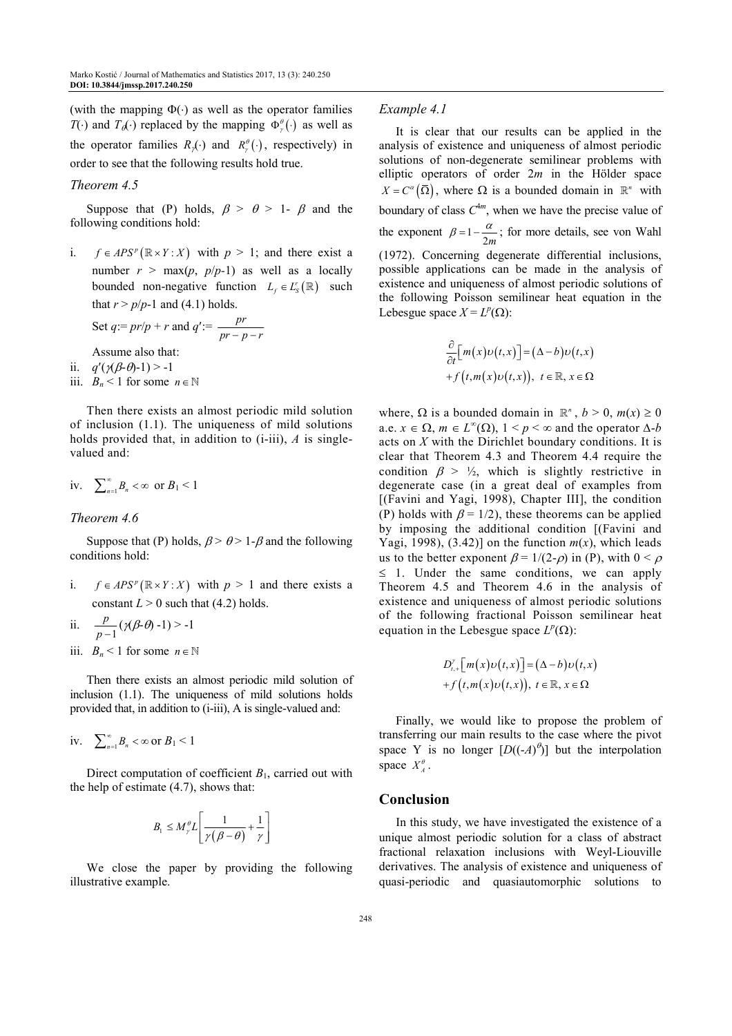(with the mapping  $\Phi(\cdot)$  as well as the operator families *T*(·) and *T*<sub>θ</sub>(·) replaced by the mapping  $\Phi_{\gamma}^{\theta}(\cdot)$  as well as the operator families  $R_{\lambda}(\cdot)$  and  $R_{\gamma}^{\theta}(\cdot)$ , respectively) in order to see that the following results hold true.

#### *Theorem 4.5*

Suppose that (P) holds,  $\beta > \theta > 1$ -  $\beta$  and the following conditions hold:

i.  $f \in APS^{p}(\mathbb{R} \times Y : X)$  with  $p > 1$ ; and there exist a number  $r > \max(p, p/p-1)$  as well as a locally bounded non-negative function  $L_f \in L_s^r(\mathbb{R})$  such that  $r > p/p-1$  and (4.1) holds.

Set 
$$
q:= pr/p + r
$$
 and  $q' := \frac{pr}{pr - p - r}$ 

Assume also that:

- ii.  $q'(\gamma(\beta-\theta)-1) > -1$
- iii. *B<sub>n</sub>* < 1 for some  $n \in \mathbb{N}$

Then there exists an almost periodic mild solution of inclusion (1.1). The uniqueness of mild solutions holds provided that, in addition to (i-iii), *A* is singlevalued and:

iv. 
$$
\sum_{n=1}^{\infty} B_n < \infty \text{ or } B_1 < 1
$$

## *Theorem 4.6*

Suppose that (P) holds,  $\beta$  >  $\theta$  > 1- $\beta$  and the following conditions hold:

i.  $f \in APS^{p}(\mathbb{R} \times Y : X)$  with  $p > 1$  and there exists a constant  $L > 0$  such that (4.2) holds.

ii. 
$$
\frac{p}{p-1}(\gamma(\beta-\theta)-1) > -1
$$

iii.  $B_n < 1$  for some  $n \in \mathbb{N}$ 

Then there exists an almost periodic mild solution of inclusion (1.1). The uniqueness of mild solutions holds provided that, in addition to (i-iii), A is single-valued and:

iv. 
$$
\sum_{n=1}^{\infty} B_n < \infty \text{ or } B_1 < 1
$$

Direct computation of coefficient *B*1, carried out with the help of estimate (4.7), shows that:

$$
B_1 \le M_\gamma^{\theta} L \left[ \frac{1}{\gamma(\beta - \theta)} + \frac{1}{\gamma} \right]
$$

We close the paper by providing the following illustrative example.

#### *Example 4.1*

It is clear that our results can be applied in the analysis of existence and uniqueness of almost periodic solutions of non-degenerate semilinear problems with elliptic operators of order 2*m* in the Hölder space  $X = C^{\alpha}(\overline{\Omega})$ , where  $\Omega$  is a bounded domain in  $\mathbb{R}^n$  with boundary of class  $C^{4m}$ , when we have the precise value of the exponent  $\beta = 1 - \frac{a}{2m}$  $\beta = 1 - \frac{\alpha}{2}$ ; for more details, see von Wahl (1972). Concerning degenerate differential inclusions, possible applications can be made in the analysis of existence and uniqueness of almost periodic solutions of the following Poisson semilinear heat equation in the Lebesgue space  $X = L^p(\Omega)$ :

$$
\frac{\partial}{\partial t} \Big[ m(x) \nu(t, x) \Big] = (\Delta - b) \nu(t, x)
$$
  
+  $f(t, m(x) \nu(t, x)), t \in \mathbb{R}, x \in \Omega$ 

where,  $\Omega$  is a bounded domain in  $\mathbb{R}^n$ ,  $b > 0$ ,  $m(x) \ge 0$ a.e.  $x \in \Omega$ ,  $m \in L^{\infty}(\Omega)$ ,  $1 \leq p \leq \infty$  and the operator  $\Delta$ -*b* acts on *X* with the Dirichlet boundary conditions. It is clear that Theorem 4.3 and Theorem 4.4 require the condition  $\beta > \frac{1}{2}$ , which is slightly restrictive in degenerate case (in a great deal of examples from [(Favini and Yagi, 1998), Chapter III], the condition (P) holds with  $\beta = 1/2$ ), these theorems can be applied by imposing the additional condition [(Favini and Yagi, 1998),  $(3.42)$ ] on the function  $m(x)$ , which leads us to the better exponent  $\beta = 1/(2-\rho)$  in (P), with  $0 < \rho$  $\leq$  1. Under the same conditions, we can apply Theorem 4.5 and Theorem 4.6 in the analysis of existence and uniqueness of almost periodic solutions of the following fractional Poisson semilinear heat equation in the Lebesgue space  $L^p(\Omega)$ :

$$
D_{t,x}^{\gamma} \left[ m(x) \upsilon(t,x) \right] = (\Delta - b) \upsilon(t,x)
$$
  
+  $f(t, m(x) \upsilon(t,x))$ ,  $t \in \mathbb{R}$ ,  $x \in \Omega$ 

Finally, we would like to propose the problem of transferring our main results to the case where the pivot space Y is no longer  $[D((-A)^\theta)]$  but the interpolation space  $X_A^{\theta}$ .

#### **Conclusion**

In this study, we have investigated the existence of a unique almost periodic solution for a class of abstract fractional relaxation inclusions with Weyl-Liouville derivatives. The analysis of existence and uniqueness of quasi-periodic and quasiautomorphic solutions to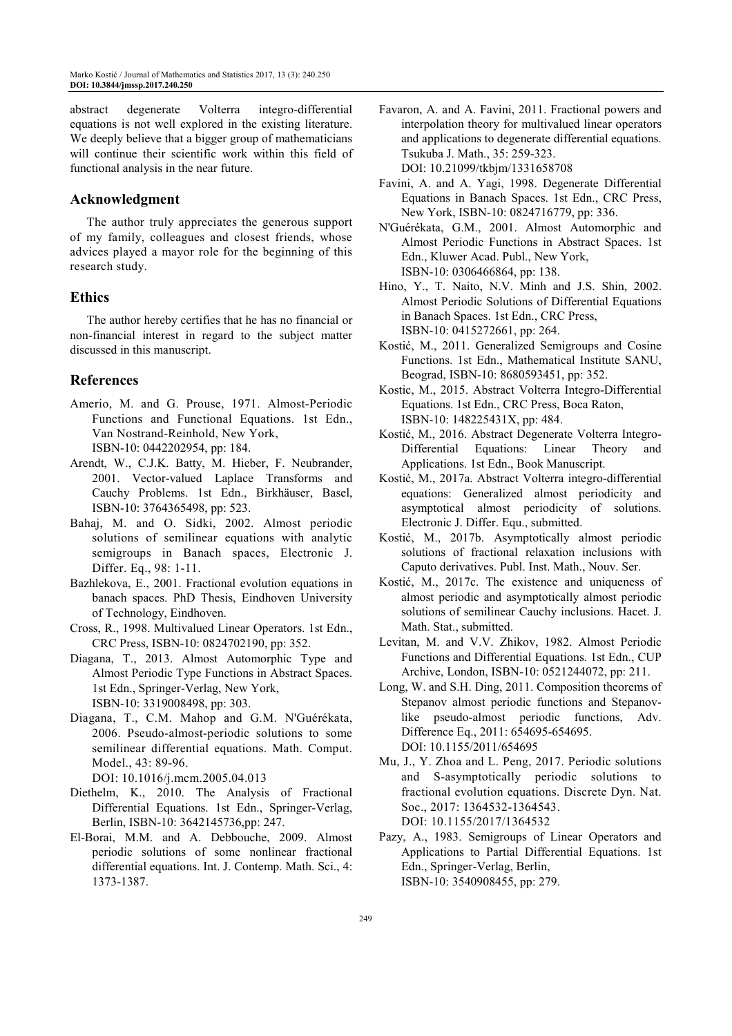abstract degenerate Volterra integro-differential equations is not well explored in the existing literature. We deeply believe that a bigger group of mathematicians will continue their scientific work within this field of functional analysis in the near future.

# **Acknowledgment**

The author truly appreciates the generous support of my family, colleagues and closest friends, whose advices played a mayor role for the beginning of this research study.

# **Ethics**

The author hereby certifies that he has no financial or non-financial interest in regard to the subject matter discussed in this manuscript.

# **References**

- Amerio, M. and G. Prouse, 1971. Almost-Periodic Functions and Functional Equations. 1st Edn., Van Nostrand-Reinhold, New York, ISBN-10: 0442202954, pp: 184.
- Arendt, W., C.J.K. Batty, M. Hieber, F. Neubrander, 2001. Vector-valued Laplace Transforms and Cauchy Problems. 1st Edn., Birkhäuser, Basel, ISBN-10: 3764365498, pp: 523.
- Bahaj, M. and O. Sidki, 2002. Almost periodic solutions of semilinear equations with analytic semigroups in Banach spaces, Electronic J. Differ. Eq., 98: 1-11.
- Bazhlekova, E., 2001. Fractional evolution equations in banach spaces. PhD Thesis, Eindhoven University of Technology, Eindhoven.
- Cross, R., 1998. Multivalued Linear Operators. 1st Edn., CRC Press, ISBN-10: 0824702190, pp: 352.
- Diagana, T., 2013. Almost Automorphic Type and Almost Periodic Type Functions in Abstract Spaces. 1st Edn., Springer-Verlag, New York, ISBN-10: 3319008498, pp: 303.
- Diagana, T., C.M. Mahop and G.M. N'Guérékata, 2006. Pseudo-almost-periodic solutions to some semilinear differential equations. Math. Comput. Model., 43: 89-96.

DOI: 10.1016/j.mcm.2005.04.013

- Diethelm, K., 2010. The Analysis of Fractional Differential Equations. 1st Edn., Springer-Verlag, Berlin, ISBN-10: 3642145736,pp: 247.
- El-Borai, M.M. and A. Debbouche, 2009. Almost periodic solutions of some nonlinear fractional differential equations. Int. J. Contemp. Math. Sci., 4: 1373-1387.
- Favaron, A. and A. Favini, 2011. Fractional powers and interpolation theory for multivalued linear operators and applications to degenerate differential equations. Tsukuba J. Math., 35: 259-323. DOI: 10.21099/tkbjm/1331658708
- Favini, A. and A. Yagi, 1998. Degenerate Differential Equations in Banach Spaces. 1st Edn., CRC Press, New York, ISBN-10: 0824716779, pp: 336.
- N'Guérékata, G.M., 2001. Almost Automorphic and Almost Periodic Functions in Abstract Spaces. 1st Edn., Kluwer Acad. Publ., New York, ISBN-10: 0306466864, pp: 138.
- Hino, Y., T. Naito, N.V. Minh and J.S. Shin, 2002. Almost Periodic Solutions of Differential Equations in Banach Spaces. 1st Edn., CRC Press, ISBN-10: 0415272661, pp: 264.
- Kostić, M., 2011. Generalized Semigroups and Cosine Functions. 1st Edn., Mathematical Institute SANU, Beograd, ISBN-10: 8680593451, pp: 352.
- Kostic, M., 2015. Abstract Volterra Integro-Differential Equations. 1st Edn., CRC Press, Boca Raton, ISBN-10: 148225431X, pp: 484.
- Kostić, M., 2016. Abstract Degenerate Volterra Integro-Differential Equations: Linear Theory and Applications. 1st Edn., Book Manuscript.
- Kostić, M., 2017a. Abstract Volterra integro-differential equations: Generalized almost periodicity and asymptotical almost periodicity of solutions. Electronic J. Differ. Equ., submitted.
- Kostić, M., 2017b. Asymptotically almost periodic solutions of fractional relaxation inclusions with Caputo derivatives. Publ. Inst. Math., Nouv. Ser.
- Kostić, M., 2017c. The existence and uniqueness of almost periodic and asymptotically almost periodic solutions of semilinear Cauchy inclusions. Hacet. J. Math. Stat., submitted.
- Levitan, M. and V.V. Zhikov, 1982. Almost Periodic Functions and Differential Equations. 1st Edn., CUP Archive, London, ISBN-10: 0521244072, pp: 211.
- Long, W. and S.H. Ding, 2011. Composition theorems of Stepanov almost periodic functions and Stepanovlike pseudo-almost periodic functions, Adv. Difference Eq., 2011: 654695-654695. DOI: 10.1155/2011/654695
- Mu, J., Y. Zhoa and L. Peng, 2017. Periodic solutions and S-asymptotically periodic solutions to fractional evolution equations. Discrete Dyn. Nat. Soc., 2017: 1364532-1364543. DOI: 10.1155/2017/1364532
- Pazy, A., 1983. Semigroups of Linear Operators and Applications to Partial Differential Equations. 1st Edn., Springer-Verlag, Berlin, ISBN-10: 3540908455, pp: 279.